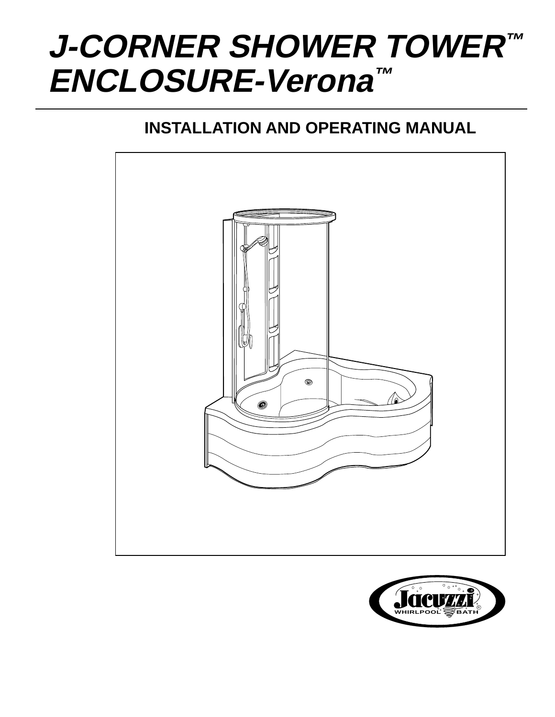# **J-CORNER SHOWER TOWER™ ENCLOSURE-Verona™**

# **INSTALLATION AND OPERATING MANUAL**



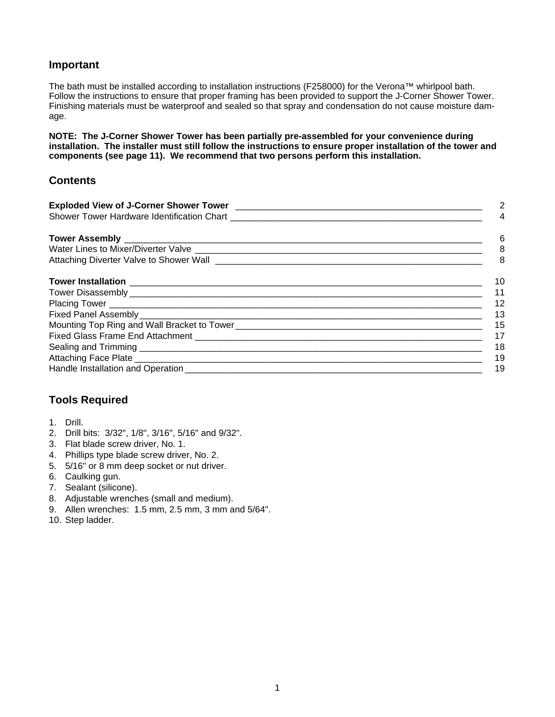#### **Important**

The bath must be installed according to installation instructions (F258000) for the Verona™ whirlpool bath. Follow the instructions to ensure that proper framing has been provided to support the J-Corner Shower Tower. Finishing materials must be waterproof and sealed so that spray and condensation do not cause moisture damage.

**NOTE: The J-Corner Shower Tower has been partially pre-assembled for your convenience during installation. The installer must still follow the instructions to ensure proper installation of the tower and components (see page 11). We recommend that two persons perform this installation.**

#### **Contents**

| Exploded View of J-Corner Shower Tower [100] [100] [100] [100] [100] [100] [100] [100] [100] [100] [100] [100] [100] [100] [100] [100] [100] [100] [100] [100] [100] [100] [100] [100] [100] [100] [100] [100] [100] [100] [10 | 2   |
|--------------------------------------------------------------------------------------------------------------------------------------------------------------------------------------------------------------------------------|-----|
|                                                                                                                                                                                                                                | 4   |
|                                                                                                                                                                                                                                | 6   |
|                                                                                                                                                                                                                                | 8   |
|                                                                                                                                                                                                                                | 8   |
|                                                                                                                                                                                                                                | 10  |
|                                                                                                                                                                                                                                | 11  |
|                                                                                                                                                                                                                                | 12  |
|                                                                                                                                                                                                                                | -13 |
|                                                                                                                                                                                                                                | 15  |
|                                                                                                                                                                                                                                | 17  |
|                                                                                                                                                                                                                                | 18  |
|                                                                                                                                                                                                                                | 19  |
|                                                                                                                                                                                                                                | 19  |

#### **Tools Required**

- 1. Drill.
- 2. Drill bits: 3/32", 1/8", 3/16", 5/16" and 9/32".
- 3. Flat blade screw driver, No. 1.
- 4. Phillips type blade screw driver, No. 2.
- 5. 5/16" or 8 mm deep socket or nut driver.
- 6. Caulking gun.
- 7. Sealant (silicone).
- 8. Adjustable wrenches (small and medium).
- 9. Allen wrenches: 1.5 mm, 2.5 mm, 3 mm and 5/64".
- 10. Step ladder.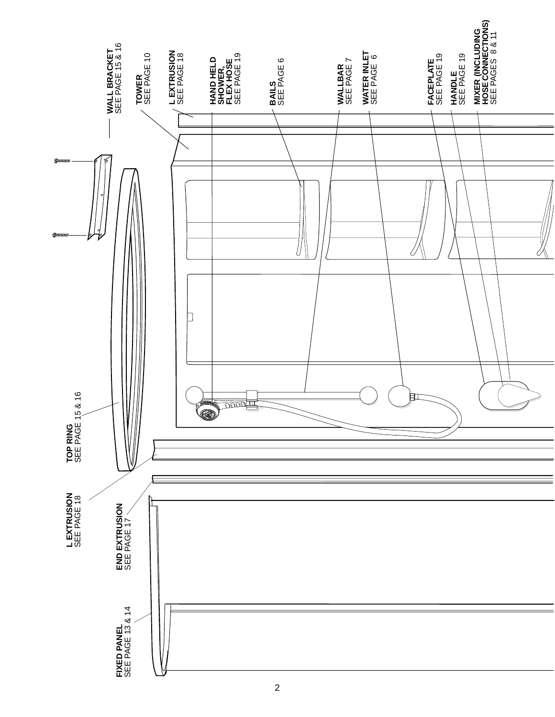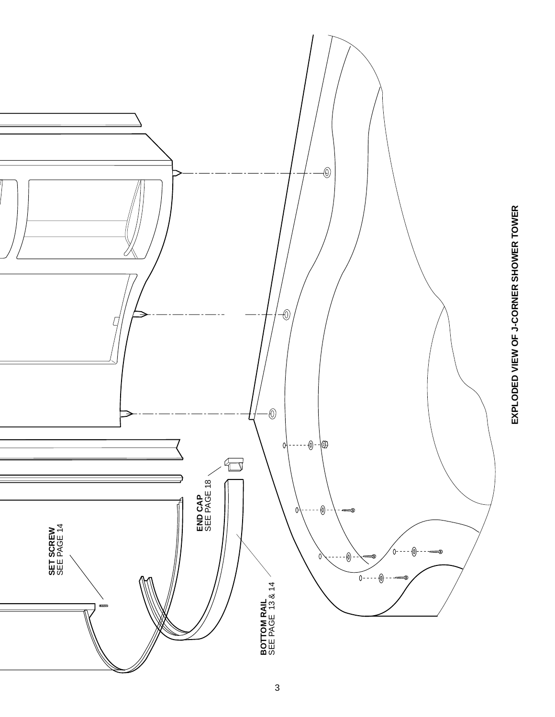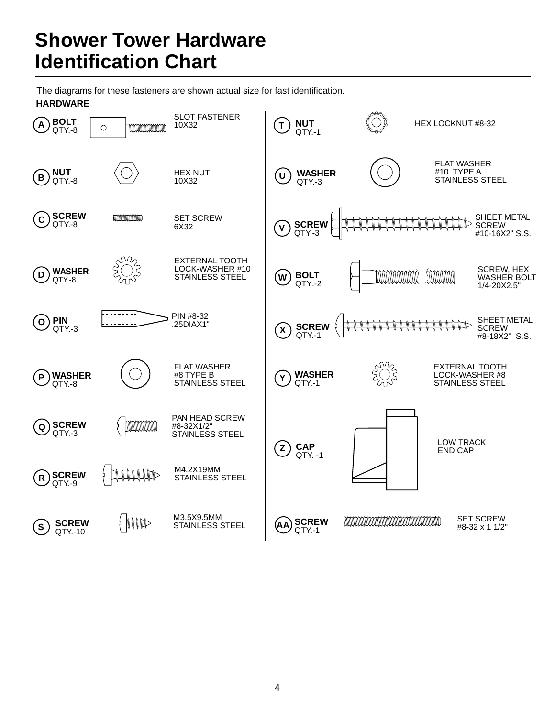# **Shower Tower Hardware Identification Chart**

The diagrams for these fasteners are shown actual size for fast identification. **HARDWARE**

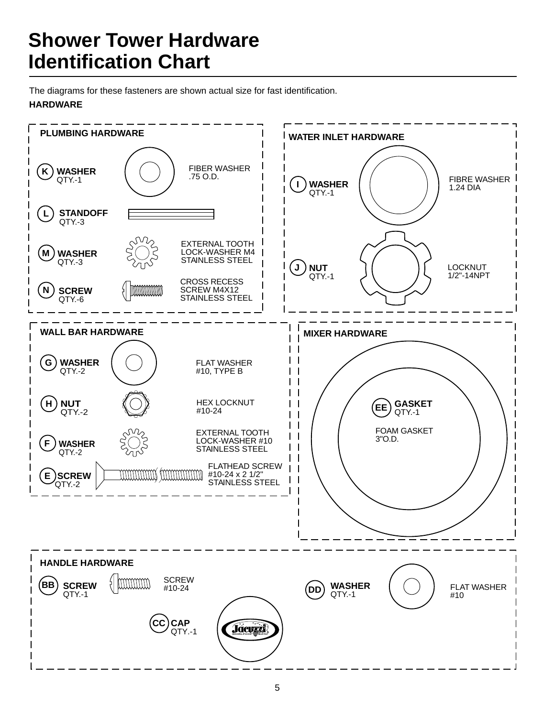# **Shower Tower Hardware Identification Chart**

The diagrams for these fasteners are shown actual size for fast identification.

### **HARDWARE**

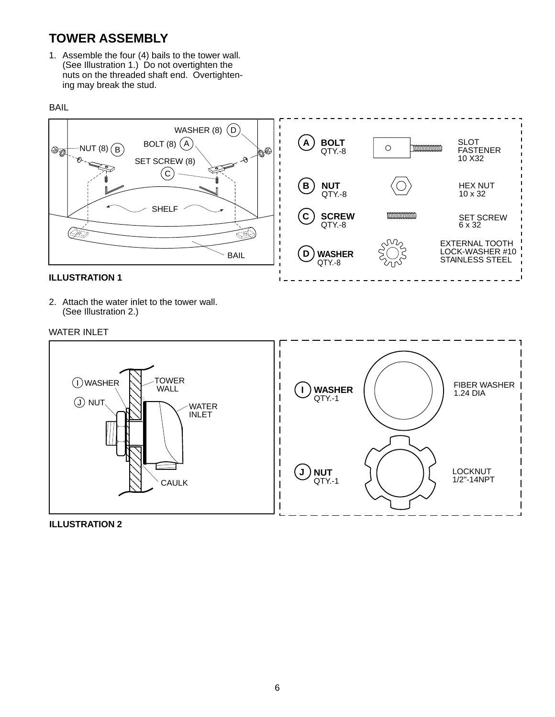# **TOWER ASSEMBLY**

1. Assemble the four (4) bails to the tower wall. (See Illustration 1.) Do not overtighten the nuts on the threaded shaft end. Overtightening may break the stud.





2. Attach the water inlet to the tower wall. (See Illustration 2.)

#### WATER INLET

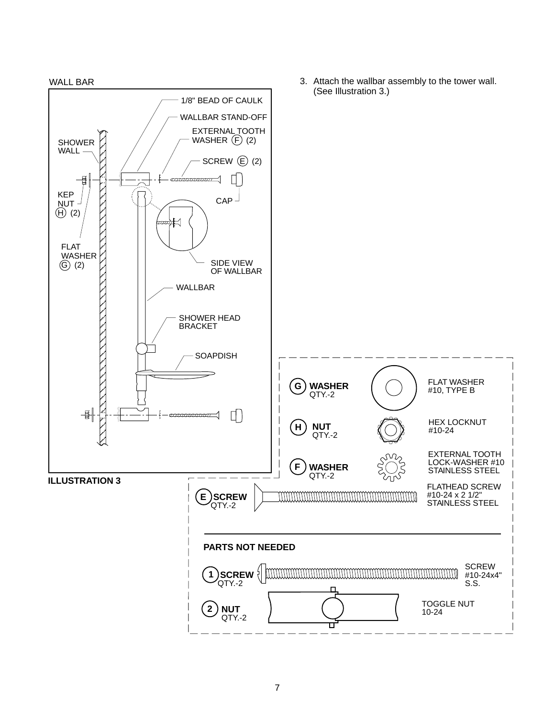

7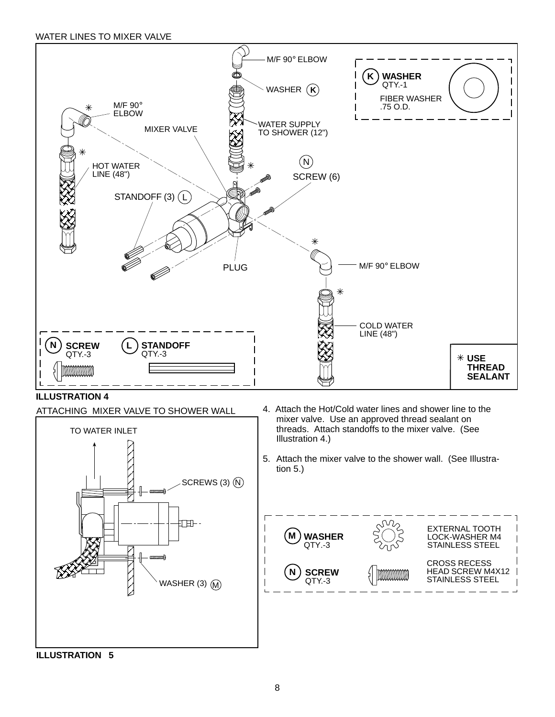WATER LINES TO MIXER VALVE



**ILLUSTRATION 4**



- 4. Attach the Hot/Cold water lines and shower line to the mixer valve. Use an approved thread sealant on threads. Attach standoffs to the mixer valve. (See Illustration 4.)
- 5. Attach the mixer valve to the shower wall. (See Illustration 5.)



**ILLUSTRATION 5**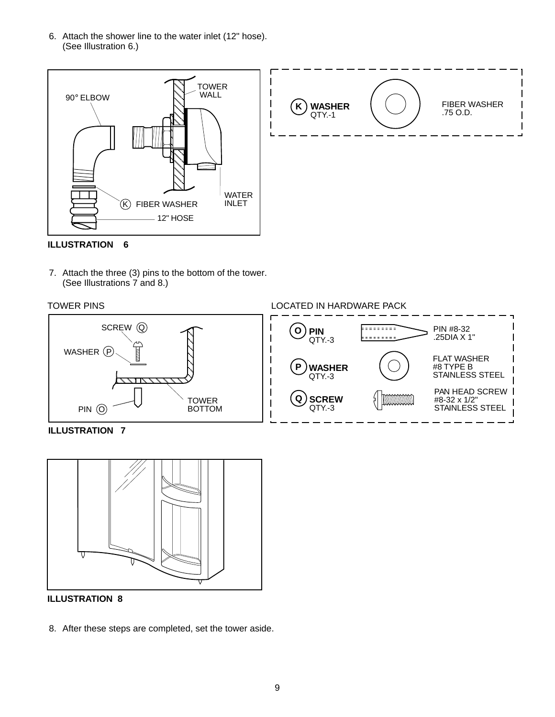6. Attach the shower line to the water inlet (12" hose). (See Illustration 6.)



**ILLUSTRATION 6**

7. Attach the three (3) pins to the bottom of the tower. (See Illustrations 7 and 8.)





**ILLUSTRATION 7**



**ILLUSTRATION 8**

8. After these steps are completed, set the tower aside.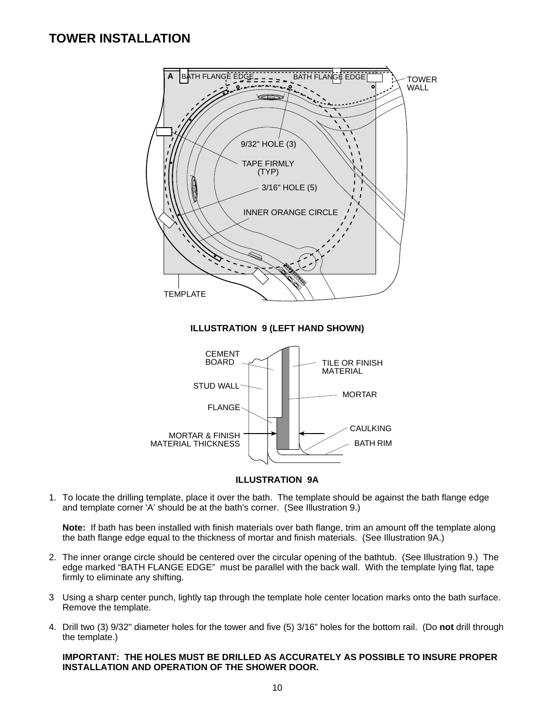### **TOWER INSTALLATION**



#### **ILLUSTRATION 9A**

1. To locate the drilling template, place it over the bath. The template should be against the bath flange edge and template corner 'A' should be at the bath's corner. (See Illustration 9.)

**Note:** If bath has been installed with finish materials over bath flange, trim an amount off the template along the bath flange edge equal to the thickness of mortar and finish materials. (See Illustration 9A.)

- 2. The inner orange circle should be centered over the circular opening of the bathtub. (See Illustration 9.) The edge marked "BATH FLANGE EDGE" must be parallel with the back wall. With the template lying flat, tape firmly to eliminate any shifting.
- 3 Using a sharp center punch, lightly tap through the template hole center location marks onto the bath surface. Remove the template.
- 4. Drill two (3) 9/32" diameter holes for the tower and five (5) 3/16" holes for the bottom rail. (Do **not** drill through the template.)

#### **IMPORTANT: THE HOLES MUST BE DRILLED AS ACCURATELY AS POSSIBLE TO INSURE PROPER INSTALLATION AND OPERATION OF THE SHOWER DOOR.**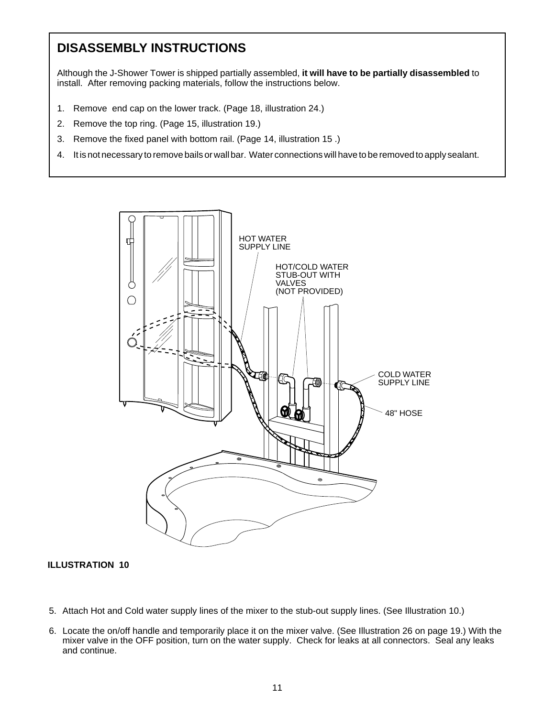# **DISASSEMBLY INSTRUCTIONS**

Although the J-Shower Tower is shipped partially assembled, **it will have to be partially disassembled** to install. After removing packing materials, follow the instructions below.

- 1. Remove end cap on the lower track. (Page 18, illustration 24.)
- 2. Remove the top ring. (Page 15, illustration 19.)
- 3. Remove the fixed panel with bottom rail. (Page 14, illustration 15 .)
- 4. It is not necessary to remove bails or wall bar. Water connections will have to be removed to apply sealant.



- 5. Attach Hot and Cold water supply lines of the mixer to the stub-out supply lines. (See Illustration 10.)
- 6. Locate the on/off handle and temporarily place it on the mixer valve. (See Illustration 26 on page 19.) With the mixer valve in the OFF position, turn on the water supply. Check for leaks at all connectors. Seal any leaks and continue.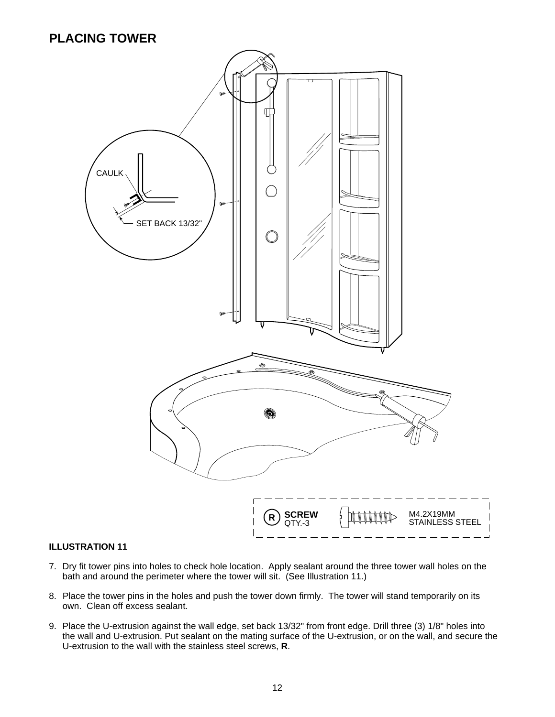## **PLACING TOWER**



- 7. Dry fit tower pins into holes to check hole location. Apply sealant around the three tower wall holes on the bath and around the perimeter where the tower will sit. (See Illustration 11.)
- 8. Place the tower pins in the holes and push the tower down firmly. The tower will stand temporarily on its own. Clean off excess sealant.
- 9. Place the U-extrusion against the wall edge, set back 13/32" from front edge. Drill three (3) 1/8" holes into the wall and U-extrusion. Put sealant on the mating surface of the U-extrusion, or on the wall, and secure the U-extrusion to the wall with the stainless steel screws, **R**.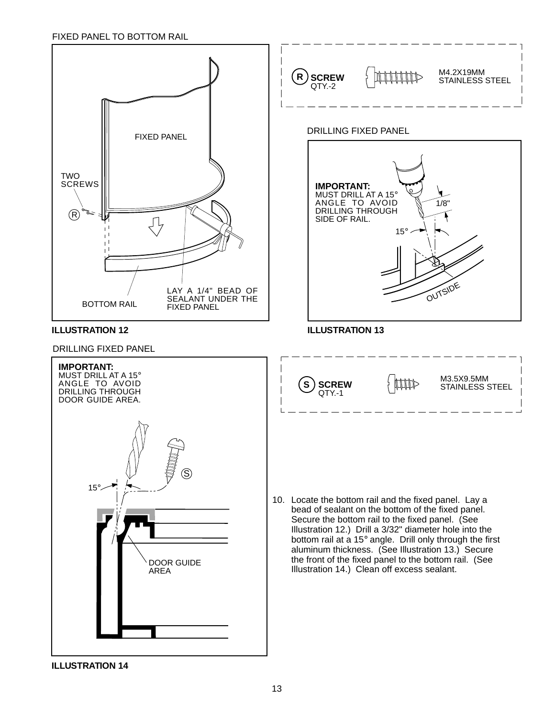#### FIXED PANEL TO BOTTOM RAIL



**ILLUSTRATION 14**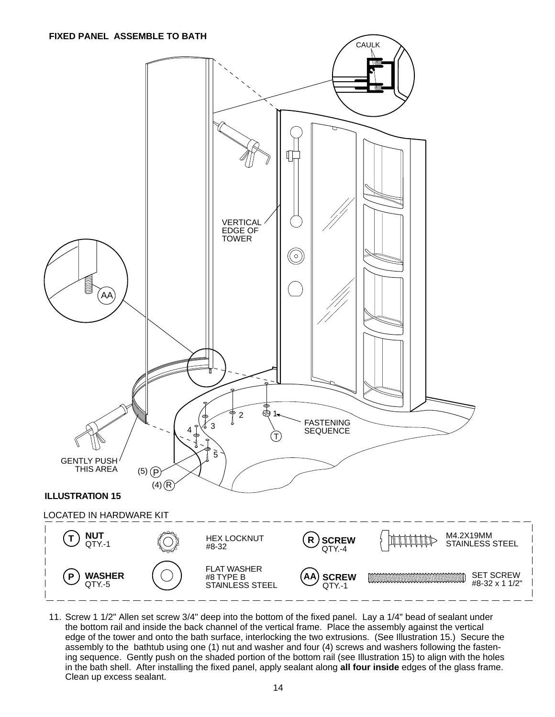#### **FIXED PANEL ASSEMBLE TO BATH**



11. Screw 1 1/2" Allen set screw 3/4" deep into the bottom of the fixed panel. Lay a 1/4" bead of sealant under the bottom rail and inside the back channel of the vertical frame. Place the assembly against the vertical edge of the tower and onto the bath surface, interlocking the two extrusions. (See Illustration 15.) Secure the assembly to the bathtub using one (1) nut and washer and four (4) screws and washers following the fastening sequence. Gently push on the shaded portion of the bottom rail (see Illustration 15) to align with the holes in the bath shell. After installing the fixed panel, apply sealant along **all four inside** edges of the glass frame. Clean up excess sealant.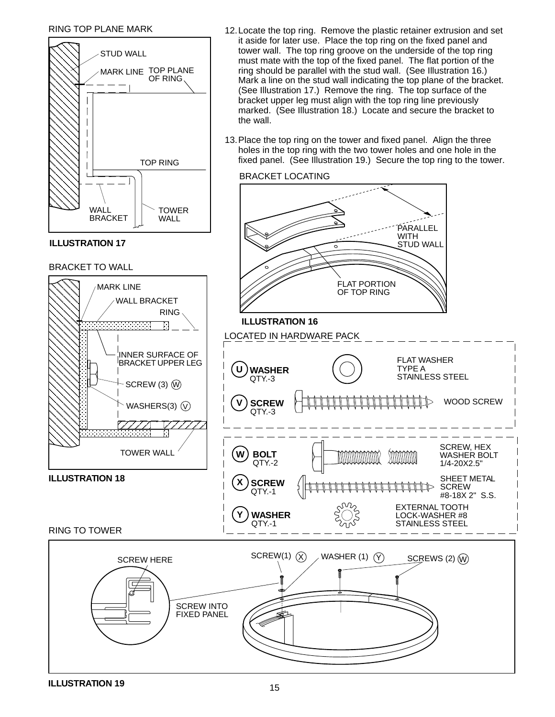#### RING TOP PLANE MARK

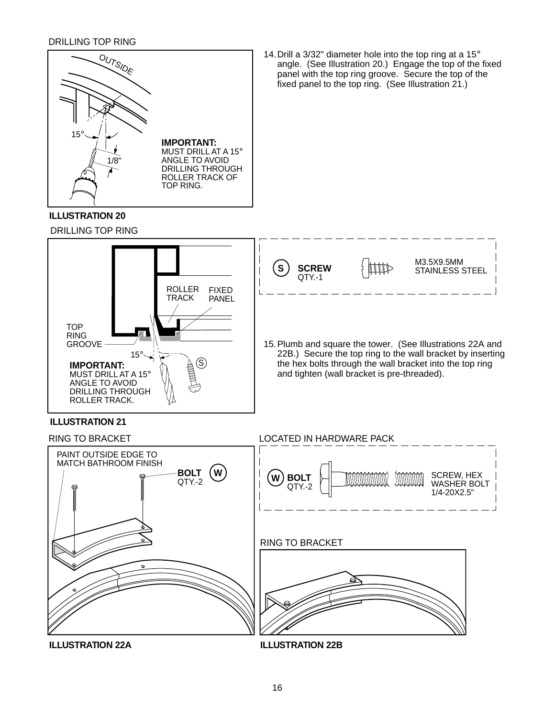#### DRILLING TOP RING



#### **ILLUSTRATION 20**

DRILLING TOP RING





#### **ILLUSTRATION 21**



**ILLUSTRATION 22A**

**ILLUSTRATION 22B**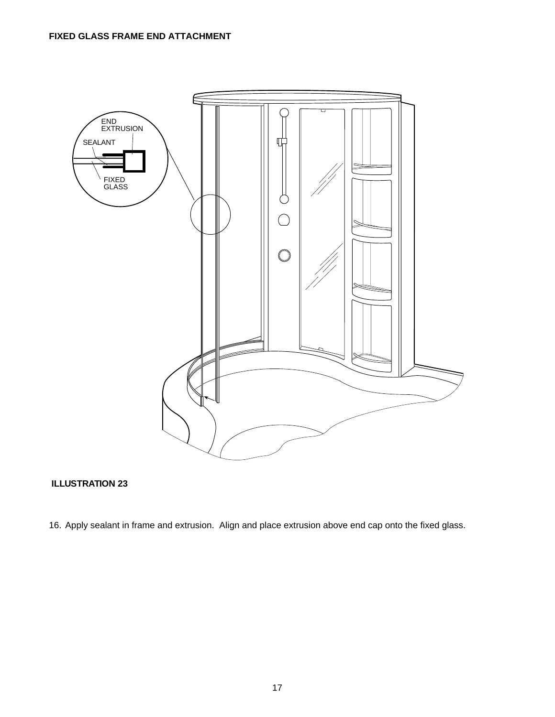

#### **ILLUSTRATION 23**

16. Apply sealant in frame and extrusion. Align and place extrusion above end cap onto the fixed glass.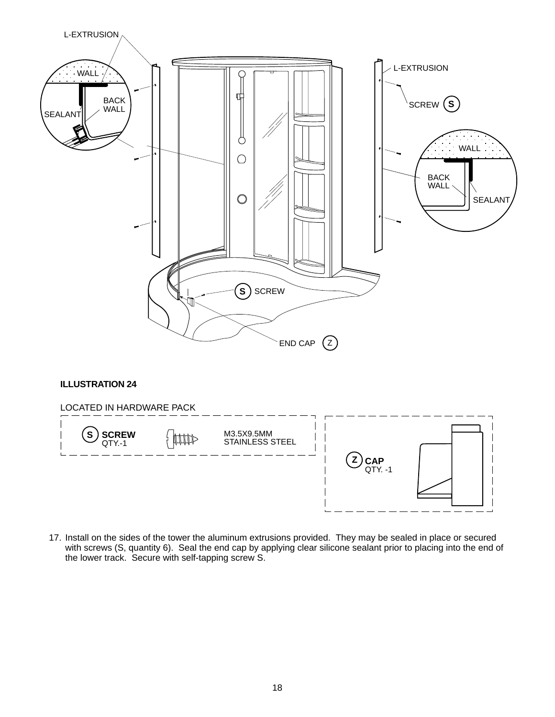

17. Install on the sides of the tower the aluminum extrusions provided. They may be sealed in place or secured with screws (S, quantity 6). Seal the end cap by applying clear silicone sealant prior to placing into the end of the lower track. Secure with self-tapping screw S.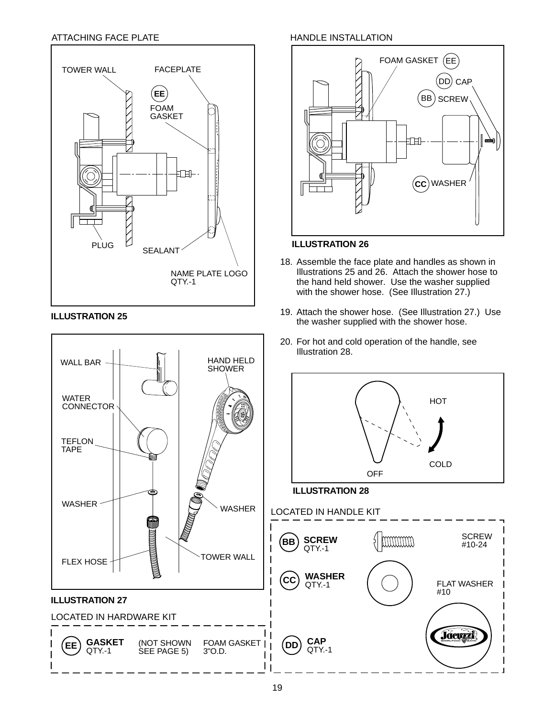#### ATTACHING FACE PLATE



#### **ILLUSTRATION 25**



#### HANDLE INSTALLATION



#### **ILLUSTRATION 26**

- 18. Assemble the face plate and handles as shown in Illustrations 25 and 26. Attach the shower hose to the hand held shower. Use the washer supplied with the shower hose. (See Illustration 27.)
- 19. Attach the shower hose. (See Illustration 27.) Use the washer supplied with the shower hose.
- 20. For hot and cold operation of the handle, see Illustration 28.



**CAP** QTY.-1